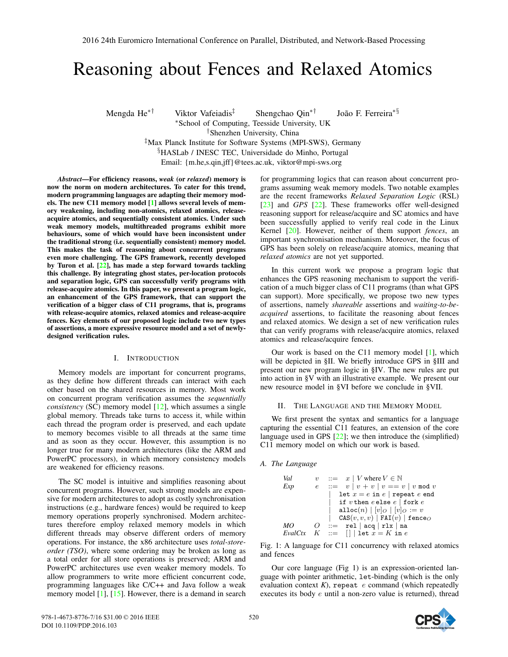# Reasoning about Fences and Relaxed Atomics

Mengda He∗† Viktor Vafeiadis‡ Shengchao Qin∗† João F. Ferreira∗§ <sup>∗</sup>School of Computing, Teesside University, UK

†Shenzhen University, China

‡Max Planck Institute for Software Systems (MPI-SWS), Germany §HASLab / INESC TEC, Universidade do Minho, Portugal

Email: {m.he,s.qin,jff}@tees.ac.uk, viktor@mpi-sws.org

*Abstract*—For efficiency reasons, *weak* (or *relaxed*) memory is now the norm on modern architectures. To cater for this trend, modern programming languages are adapting their memory models. The new C11 memory model [1] allows several levels of memory weakening, including non-atomics, relaxed atomics, releaseacquire atomics, and sequentially consistent atomics. Under such weak memory models, multithreaded programs exhibit more behaviours, some of which would have been inconsistent under the traditional strong (i.e. sequentially consistent) memory model. This makes the task of reasoning about concurrent programs even more challenging. The GPS framework, recently developed by Turon et al. [22], has made a step forward towards tackling this challenge. By integrating ghost states, per-location protocols and separation logic, GPS can successfully verify programs with release-acquire atomics. In this paper, we present a program logic, an enhancement of the GPS framework, that can support the verification of a bigger class of C11 programs, that is, programs with release-acquire atomics, relaxed atomics and release-acquire fences. Key elements of our proposed logic include two new types of assertions, a more expressive resource model and a set of newlydesigned verification rules.

#### I. INTRODUCTION

Memory models are important for concurrent programs, as they define how different threads can interact with each other based on the shared resources in memory. Most work on concurrent program verification assumes the *sequentially consistency* (SC) memory model [12], which assumes a single global memory. Threads take turns to access it, while within each thread the program order is preserved, and each update to memory becomes visible to all threads at the same time and as soon as they occur. However, this assumption is no longer true for many modern architectures (like the ARM and PowerPC processors), in which memory consistency models are weakened for efficiency reasons.

The SC model is intuitive and simplifies reasoning about concurrent programs. However, such strong models are expensive for modern architectures to adopt as costly synchronisation instructions (e.g., hardware fences) would be required to keep memory operations properly synchronised. Modern architectures therefore employ relaxed memory models in which different threads may observe different orders of memory operations. For instance, the x86 architecture uses *total-storeorder (TSO)*, where some ordering may be broken as long as a total order for all store operations is preserved; ARM and PowerPC architectures use even weaker memory models. To allow programmers to write more efficient concurrent code, programming languages like C/C++ and Java follow a weak memory model [1], [15]. However, there is a demand in search

for programming logics that can reason about concurrent programs assuming weak memory models. Two notable examples are the recent frameworks *Relaxed Separation Logic* (RSL) [23] and *GPS* [22]. These frameworks offer well-designed reasoning support for release/acquire and SC atomics and have been successfully applied to verify real code in the Linux Kernel [20]. However, neither of them support *fences*, an important synchronisation mechanism. Moreover, the focus of GPS has been solely on release/acquire atomics, meaning that *relaxed atomics* are not yet supported.

In this current work we propose a program logic that enhances the GPS reasoning mechanism to support the verification of a much bigger class of C11 programs (than what GPS can support). More specifically, we propose two new types of assertions, namely *shareable* assertions and *waiting-to-beacquired* assertions, to facilitate the reasoning about fences and relaxed atomics. We design a set of new verification rules that can verify programs with release/acquire atomics, relaxed atomics and release/acquire fences.

Our work is based on the C11 memory model [1], which will be depicted in §II. We briefly introduce GPS in §III and present our new program logic in §IV. The new rules are put into action in §V with an illustrative example. We present our new resource model in §VI before we conclude in §VII.

#### II. THE LANGUAGE AND THE MEMORY MODEL

We first present the syntax and semantics for a language capturing the essential C11 features, an extension of the core language used in GPS  $[22]$ ; we then introduce the (simplified) C11 memory model on which our work is based.

# *A. The Language*

*Val*  $v := x \mid V$  where  $V \in \mathbb{N}$ *Exp*  $e$  ::=  $v | v + v | v == v | v \mod v$ let  $x = e$  in  $e |$  repeat  $e$  end if v then  $e$  else  $e \mid$  fork  $e$  $\texttt{alloc}(n) | [v]_O | [v]_O := v$  $|\operatorname{\tt CAS}(v,v,v)\|$  FAI $(v)$   $|$  fence $O$  $MO$   $O$  ::= rel | acq | rlx | na  $EvalCtx$   $K$  ::= [] | let  $x = K$  in e

Fig. 1: A language for C11 concurrency with relaxed atomics and fences

Our core language (Fig 1) is an expression-oriented language with pointer arithmetic, let-binding (which is the only evaluation context  $K$ ), repeat  $e$  command (which repeatedly executes its body e until a non-zero value is returned), thread

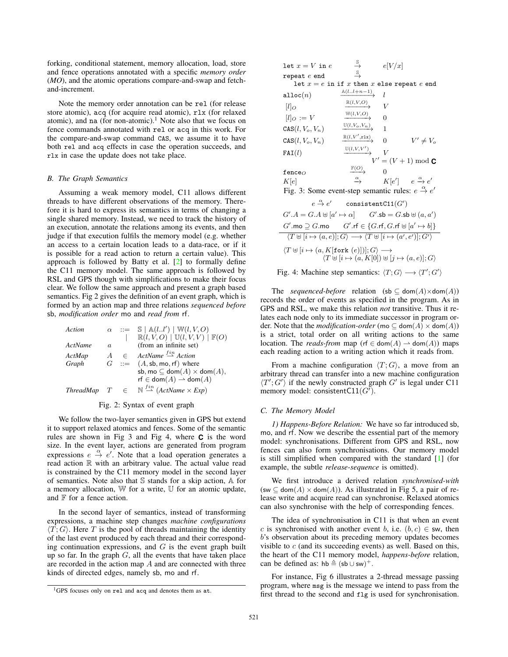forking, conditional statement, memory allocation, load, store and fence operations annotated with a specific *memory order* (*MO*), and the atomic operations compare-and-swap and fetchand-increment.

Note the memory order annotation can be rel (for release store atomic), acq (for acquire read atomic), rlx (for relaxed atomic), and na (for non-atomic).<sup>1</sup> Note also that we focus on fence commands annotated with rel or acq in this work. For the compare-and-swap command CAS, we assume it to have both rel and acq effects in case the operation succeeds, and rlx in case the update does not take place.

#### *B. The Graph Semantics*

Assuming a weak memory model, C11 allows different threads to have different observations of the memory. Therefore it is hard to express its semantics in terms of changing a single shared memory. Instead, we need to track the history of an execution, annotate the relations among its events, and then judge if that execution fulfils the memory model (e.g. whether an access to a certain location leads to a data-race, or if it is possible for a read action to return a certain value). This approach is followed by Batty et al. [2] to formally define the C11 memory model. The same approach is followed by RSL and GPS though with simplifications to make their focus clear. We follow the same approach and present a graph based semantics. Fig 2 gives the definition of an event graph, which is formed by an action map and three relations *sequenced before* sb, *modification order* mo and *read from* rf.

| Action      |                |           | $\alpha$ ::= $\mathbb{S}   \mathbb{A}(ll')   \mathbb{W}(l, V, O)$<br>$\mathbb{R}(l, V, O) \mid \mathbb{U}(l, V, V) \mid \mathbb{F}(O)$ |
|-------------|----------------|-----------|----------------------------------------------------------------------------------------------------------------------------------------|
| ActName     | a.             |           | (from an infinite set)                                                                                                                 |
| ActMap      | $\overline{A}$ | $\subset$ | ActName $\stackrel{fin}{\rightharpoonup}$ Action                                                                                       |
| Graph       |                |           | $G$ ::= $(A, sb, mo, rf)$ where                                                                                                        |
|             |                |           | sb, mo $\subseteq$ dom $(A) \times$ dom $(A)$ ,                                                                                        |
|             |                |           | rf $\in$ dom $(A)$ $\rightarrow$ dom $(A)$                                                                                             |
| ThreadMap T |                | $\in$     | $\mathbb{N} \stackrel{fin}{\rightharpoonup} (ActName \times Exp)$                                                                      |

#### Fig. 2: Syntax of event graph

We follow the two-layer semantics given in GPS but extend it to support relaxed atomics and fences. Some of the semantic rules are shown in Fig 3 and Fig 4, where **C** is the word size. In the event layer, actions are generated from program expressions  $e \stackrel{\alpha}{\rightarrow} e'$ . Note that a load operation generates a read action R with an arbitrary value. The actual value read is constrained by the C11 memory model in the second layer of semantics. Note also that S stands for a skip action, A for a memory allocation, W for a write, U for an atomic update, and  $F$  for a fence action.

In the second layer of semantics, instead of transforming expressions, a machine step changes *machine configurations*  $\langle T; G \rangle$ . Here T is the pool of threads maintaining the identity of the last event produced by each thread and their corresponding continuation expressions, and  $G$  is the event graph built up so far. In the graph  $G$ , all the events that have taken place are recorded in the action map  $A$  and are connected with three kinds of directed edges, namely sb, mo and rf.

| let $x = V$ in $e$                                                                                                                                                                                                                                                                            | $\stackrel{\mathbb{S}}{\rightarrow}$  | e V/x          |                                         |  |
|-----------------------------------------------------------------------------------------------------------------------------------------------------------------------------------------------------------------------------------------------------------------------------------------------|---------------------------------------|----------------|-----------------------------------------|--|
| repeat $e$ end                                                                                                                                                                                                                                                                                | $\stackrel{\mathbb{S}}{\rightarrow}$  |                |                                         |  |
| let $x = e$ in if x then x else repeat e end                                                                                                                                                                                                                                                  |                                       |                |                                         |  |
| alloc $(n)$                                                                                                                                                                                                                                                                                   | $\mathbb{A}(ll+n-1)$                  | $\iota$        |                                         |  |
| $[l]_O$                                                                                                                                                                                                                                                                                       | $\mathbb{R}(l,V,O)$                   | V              |                                         |  |
| $[l]_O := V$                                                                                                                                                                                                                                                                                  | $\xrightarrow{W(l,V,O)}$              | $\Omega$       |                                         |  |
| $CAS(l, V_o, V_n)$                                                                                                                                                                                                                                                                            | $\xrightarrow{\mathbb{U}(l,V_o,V_n)}$ | 1              |                                         |  |
| $\text{CAS}(l, V_o, V_n)$                                                                                                                                                                                                                                                                     | $\mathbb{R}(l,V',r1x)$                | $\Omega$       | $V' \neq V_o$                           |  |
| FAI(l)                                                                                                                                                                                                                                                                                        | $\xrightarrow{U(l,V,V')}$             | $\overline{V}$ |                                         |  |
|                                                                                                                                                                                                                                                                                               |                                       |                | $V' = (V + 1) \bmod C$                  |  |
| fence $_{O}$                                                                                                                                                                                                                                                                                  | $\mathbb{F}(O)$                       |                |                                         |  |
| K[e]                                                                                                                                                                                                                                                                                          | $\stackrel{\alpha}{\longrightarrow}$  |                | $K[e'] \quad e \xrightarrow{\alpha} e'$ |  |
| Fig. 3: Some event-step semantic rules: $e \stackrel{\alpha}{\rightarrow} e'$                                                                                                                                                                                                                 |                                       |                |                                         |  |
| $e \stackrel{\alpha}{\rightarrow} e'$ consistentC11(G')                                                                                                                                                                                                                                       |                                       |                |                                         |  |
| $G'.A = G.A \uplus [a' \mapsto \alpha]$ $G'.\mathsf{sb} = G.\mathsf{sb} \uplus (a,a')$                                                                                                                                                                                                        |                                       |                |                                         |  |
| $G'.\textsf{mo} \supseteq G.\textsf{mo}$ $G'.\textsf{rf} \in \{G.\textsf{rf}, G.\textsf{rf} \uplus [a' \mapsto b]\}$                                                                                                                                                                          |                                       |                |                                         |  |
| $\langle T \uplus [i \mapsto (a, e)]; G \rangle \longrightarrow \langle T \uplus [i \mapsto (a', e')] ; G' \rangle$                                                                                                                                                                           |                                       |                |                                         |  |
| $\sqrt{m}$ . $\sqrt{m}$ . $\sqrt{m}$ . $\sqrt{m}$ . $\sqrt{m}$ . $\sqrt{m}$ . $\sqrt{m}$ . $\sqrt{m}$ . $\sqrt{m}$ . $\sqrt{m}$ . $\sqrt{m}$ . $\sqrt{m}$ . $\sqrt{m}$ . $\sqrt{m}$ . $\sqrt{m}$ . $\sqrt{m}$ . $\sqrt{m}$ . $\sqrt{m}$ . $\sqrt{m}$ . $\sqrt{m}$ . $\sqrt{m}$ . $\sqrt{m}$ . |                                       |                |                                         |  |

$$
\langle T \uplus [i \mapsto (a, K[\text{fork} (e)])]; G \rangle \longrightarrow
$$
  

$$
\langle T \uplus [i \mapsto (a, K[0]) \uplus [j \mapsto (a, e)]; G \rangle
$$

Fig. 4: Machine step semantics:  $\langle T; G \rangle \longrightarrow \langle T'; G' \rangle$ 

The *sequenced-before* relation (sb  $\subseteq$  dom(A)×dom(A)) records the order of events as specified in the program. As in GPS and RSL, we make this relation *not* transitive. Thus it relates each node only to its immediate successor in program order. Note that the *modification-order* (mo  $\subset$  dom(A)  $\times$  dom(A)) is a strict, total order on all writing actions to the same location. The *reads-from* map (rf  $\in$  dom(A)  $\rightarrow$  dom(A)) maps each reading action to a writing action which it reads from.

From a machine configuration  $\langle T; G \rangle$ , a move from an arbitrary thread can transfer into a new machine configuration  $\langle T'; G'\rangle$  if the newly constructed graph G' is legal under C11 memory model: consistentC11( $G'$ ).

# *C. The Memory Model*

*1) Happens-Before Relation:* We have so far introduced sb, mo, and rf. Now we describe the essential part of the memory model: synchronisations. Different from GPS and RSL, now fences can also form synchronisations. Our memory model is still simplified when compared with the standard [1] (for example, the subtle *release-sequence* is omitted).

We first introduce a derived relation *synchronised-with*  $({\sf sw} \subseteq {\sf dom}(A) \times {\sf dom}(A))$ . As illustrated in Fig 5, a pair of release write and acquire read can synchronise. Relaxed atomics can also synchronise with the help of corresponding fences.

The idea of synchronisation in C11 is that when an event c is synchronised with another event b, i.e.  $(b, c) \in$  sw, then b's observation about its preceding memory updates becomes visible to  $c$  (and its succeeding events) as well. Based on this, the heart of the C11 memory model, *happens-before* relation, can be defined as:  $hb \triangleq (sb \cup sw)^{+}$ .

For instance, Fig 6 illustrates a 2-thread message passing program, where msg is the message we intend to pass from the first thread to the second and flg is used for synchronisation.

<sup>1</sup>GPS focuses only on rel and acq and denotes them as at.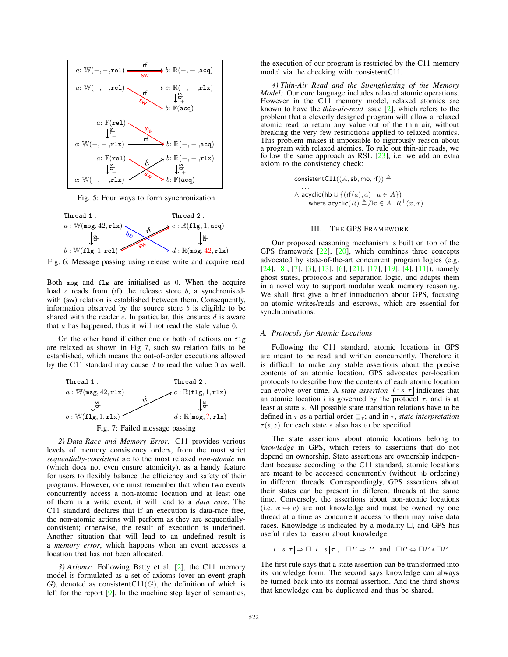

Fig. 5: Four ways to form synchronization



Fig. 6: Message passing using release write and acquire read

Both msg and flg are initialised as 0. When the acquire load  $c$  reads from (rf) the release store  $b$ , a synchronisedwith (sw) relation is established between them. Consequently, information observed by the source store  $b$  is eligible to be shared with the reader  $c$ . In particular, this ensures  $d$  is aware that  $\alpha$  has happened, thus it will not read the stale value 0.

On the other hand if either one or both of actions on flg are relaxed as shown in Fig 7, such sw relation fails to be established, which means the out-of-order executions allowed by the C11 standard may cause  $d$  to read the value 0 as well.



*2) Data-Race and Memory Error:* C11 provides various levels of memory consistency orders, from the most strict *sequentially-consistent* sc to the most relaxed *non-atomic* na (which does not even ensure atomicity), as a handy feature for users to flexibly balance the efficiency and safety of their programs. However, one must remember that when two events concurrently access a non-atomic location and at least one of them is a write event, it will lead to a *data race*. The C11 standard declares that if an execution is data-race free, the non-atomic actions will perform as they are sequentiallyconsistent; otherwise, the result of execution is undefined. Another situation that will lead to an undefined result is a *memory error*, which happens when an event accesses a location that has not been allocated.

*3) Axioms:* Following Batty et al. [2], the C11 memory model is formulated as a set of axioms (over an event graph G), denoted as consistentC11(G), the definition of which is left for the report [9]. In the machine step layer of semantics,

the execution of our program is restricted by the C11 memory model via the checking with consistentC11.

*4) Thin-Air Read and the Strengthening of the Memory Model:* Our core language includes relaxed atomic operations. However in the C11 memory model, relaxed atomics are known to have the *thin-air-read* issue [2], which refers to the problem that a cleverly designed program will allow a relaxed atomic read to return any value out of the thin air, without breaking the very few restrictions applied to relaxed atomics. This problem makes it impossible to rigorously reason about a program with relaxed atomics. To rule out thin-air reads, we follow the same approach as RSL  $[23]$ , i.e. we add an extra axiom to the consistency check:

$$
\begin{aligned}\n\text{consistentC11}((A, \text{sb}, \text{mo}, \text{rf})) &\triangleq \\
&\dots \\
\land \text{acyclic}(\text{hb} \cup \{(\text{rf}(a), a) \mid a \in A\}) \\
&\text{where } \text{acyclic}(R) \triangleq \exists x \in A. \ R^+(x, x).\n\end{aligned}
$$

# III. THE GPS FRAMEWORK

Our proposed reasoning mechanism is built on top of the GPS framework  $[22]$ ,  $[20]$ , which combines three concepts advocated by state-of-the-art concurrent program logics (e.g.  $[24]$ ,  $[8]$ ,  $[7]$ ,  $[3]$ ,  $[13]$ ,  $[6]$ ,  $[21]$ ,  $[17]$ ,  $[19]$ ,  $[4]$ ,  $[11]$ ), namely ghost states, protocols and separation logic, and adapts them in a novel way to support modular weak memory reasoning. We shall first give a brief introduction about GPS, focusing on atomic writes/reads and escrows, which are essential for synchronisations.

# *A. Protocols for Atomic Locations*

Following the C11 standard, atomic locations in GPS are meant to be read and written concurrently. Therefore it is difficult to make any stable assertions about the precise contents of an atomic location. GPS advocates per-location protocols to describe how the contents of each atomic location can evolve over time. A *state assertion*  $\overline{l : s | \tau}$  indicates that an atomic location l is governed by the protocol  $\tau$ , and is at least at state s. All possible state transition relations have to be defined in  $\tau$  as a partial order  $\sqsubseteq_{\tau}$ ; and in  $\tau$ , *state interpretation*  $\tau(s, z)$  for each state s also has to be specified.

The state assertions about atomic locations belong to *knowledge* in GPS, which refers to assertions that do not depend on ownership. State assertions are ownership independent because according to the C11 standard, atomic locations are meant to be accessed concurrently (without hb ordering) in different threads. Correspondingly, GPS assertions about their states can be present in different threads at the same time. Conversely, the assertions about non-atomic locations (i.e.  $x \leftrightarrow v$ ) are not knowledge and must be owned by one thread at a time as concurrent access to them may raise data races. Knowledge is indicated by a modality  $\Box$ , and GPS has useful rules to reason about knowledge:

$$
\overline{|l:s|\tau}| \Rightarrow \Box \overline{|l:s|\tau}|, \quad \Box P \Rightarrow P \quad \text{and} \quad \Box P \Leftrightarrow \Box P * \Box P
$$

The first rule says that a state assertion can be transformed into its knowledge form. The second says knowledge can always be turned back into its normal assertion. And the third shows that knowledge can be duplicated and thus be shared.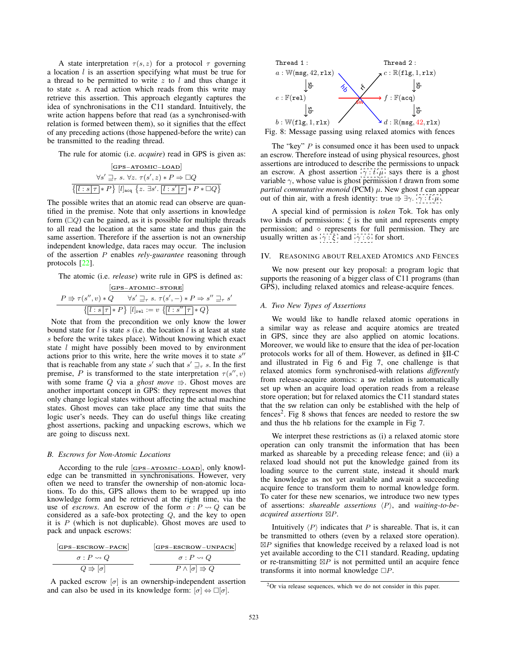A state interpretation  $\tau(s, z)$  for a protocol  $\tau$  governing a location  $l$  is an assertion specifying what must be true for a thread to be permitted to write  $z$  to  $l$  and thus change it to state s. A read action which reads from this write may retrieve this assertion. This approach elegantly captures the idea of synchronisations in the C11 standard. Intuitively, the write action happens before that read (as a synchronised-with relation is formed between them), so it signifies that the effect of any preceding actions (those happened-before the write) can be transmitted to the reading thread.

The rule for atomic (i.e. *acquire*) read in GPS is given as:

$$
\frac{[\text{GPS-ATOMIC-LOAD}]}{\{s' \sqsupseteq r s. \forall z. \tau(s', z) * P \Rightarrow \Box Q}
$$

$$
\frac{\{\boxed{l : s | \tau \}}* P\} [\boxed{l}_{\text{acq}} \{z. \exists s'. \boxed{l : s' | \tau \}} * P * \Box Q\}
$$

The possible writes that an atomic read can observe are quantified in the premise. Note that only assertions in knowledge form  $(\Box Q)$  can be gained, as it is possible for multiple threads to all read the location at the same state and thus gain the same assertion. Therefore if the assertion is not an ownership independent knowledge, data races may occur. The inclusion of the assertion P enables *rely-guarantee* reasoning through protocols [22].

The atomic (i.e. *release*) write rule in GPS is defined as:

$$
\frac{\text{[GPS-ATOMIC-STORE]}}{P \Rightarrow \tau(s'', v) * Q \qquad \forall s' \sqsupseteq_{\tau} s. \ \tau(s', -) * P \Rightarrow s'' \sqsupseteq_{\tau} s'}
$$

$$
\{[l : s | \tau | * P\} \ [l]_{\text{rel}} := v \ \{[l : s'' | \tau | * Q\}
$$

Note that from the precondition we only know the lower bound state for  $l$  is state  $s$  (i.e. the location  $l$  is at least at state s before the write takes place). Without knowing which exact state *l* might have possibly been moved to by environment actions prior to this write, here the write moves it to state  $s''$ that is reachable from any state s' such that  $s' \rightrightarrows_{\tau} s$ . In the first premise, P is transformed to the state interpretation  $\tau(s'', v)$ with some frame Q via a *ghost move*  $\Rightarrow$ . Ghost moves are another important concept in GPS: they represent moves that only change logical states without affecting the actual machine states. Ghost moves can take place any time that suits the logic user's needs. They can do useful things like creating ghost assertions, packing and unpacking escrows, which we are going to discuss next.

#### *B. Escrows for Non-Atomic Locations*

According to the rule [**GPS**−**ATOMIC**−**LOAD**], only knowledge can be transmitted in synchronisations. However, very often we need to transfer the ownership of non-atomic locations. To do this, GPS allows them to be wrapped up into knowledge form and be retrieved at the right time, via the use of *escrows*. An escrow of the form  $\sigma$ :  $P \rightsquigarrow Q$  can be considered as a safe-box protecting Q, and the key to open it is  $P$  (which is not duplicable). Ghost moves are used to pack and unpack escrows:

| $GPS-ESCROW-PACK$              | $GPS-ESCROW-UNPACK$               |
|--------------------------------|-----------------------------------|
| $\sigma: P \rightsquigarrow Q$ | $\sigma: P \rightsquigarrow Q$    |
| $Q \Rightarrow  \sigma $       | $P \wedge [\sigma] \Rightarrow Q$ |

A packed escrow  $[\sigma]$  is an ownership-independent assertion and can also be used in its knowledge form:  $[\sigma] \Leftrightarrow \Box [\sigma]$ .



Fig. 8: Message passing using relaxed atomics with fences

The "key"  $P$  is consumed once it has been used to unpack an escrow. Therefore instead of using physical resources, ghost assertions are introduced to describe the permissions to unpack an escrow. A ghost assertion  $\overline{\gamma : t \mu}$  says there is a ghost variable  $\gamma$ , whose value is ghost permission t drawn from some *partial commutative monoid* (PCM)  $\mu$ . New ghost t can appear out of thin air, with a fresh identity: true  $\Rightarrow \exists \gamma \cdot \gamma : t \cdot \mu$ .

A special kind of permission is *token* Tok. Tok has only two kinds of permissions:  $\xi$  is the unit and represents empty permission; and  $\diamond$  represents for full permission. They are usually written as  $\left[\gamma : \xi\right]$  and  $\left[\gamma : \diamond\right]$  for short.

# IV. REASONING ABOUT RELAXED ATOMICS AND FENCES

We now present our key proposal: a program logic that supports the reasoning of a bigger class of C11 programs (than GPS), including relaxed atomics and release-acquire fences.

#### *A. Two New Types of Assertions*

We would like to handle relaxed atomic operations in a similar way as release and acquire atomics are treated in GPS, since they are also applied on atomic locations. Moreover, we would like to ensure that the idea of per-location protocols works for all of them. However, as defined in §II-C and illustrated in Fig 6 and Fig 7, one challenge is that relaxed atomics form synchronised-with relations *differently* from release-acquire atomics: a sw relation is automatically set up when an acquire load operation reads from a release store operation; but for relaxed atomics the C11 standard states that the sw relation can only be established with the help of fences<sup>2</sup>. Fig 8 shows that fences are needed to restore the sw and thus the hb relations for the example in Fig 7.

We interpret these restrictions as (i) a relaxed atomic store operation can only transmit the information that has been marked as shareable by a preceding release fence; and (ii) a relaxed load should not put the knowledge gained from its loading source to the current state, instead it should mark the knowledge as not yet available and await a succeeding acquire fence to transform them to normal knowledge form. To cater for these new scenarios, we introduce two new types of assertions: *shareable assertions* P , and *waiting-to-beacquired assertions*  $\mathbb{Z}P$ *.* 

Intuitively  $\langle P \rangle$  indicates that P is shareable. That is, it can be transmitted to others (even by a relaxed store operation).  $\boxtimes P$  signifies that knowledge received by a relaxed load is not yet available according to the C11 standard. Reading, updating or re-transmitting  $\boxtimes P$  is not permitted until an acquire fence transforms it into normal knowledge  $\Box P$ .

 $2$ Or via release sequences, which we do not consider in this paper.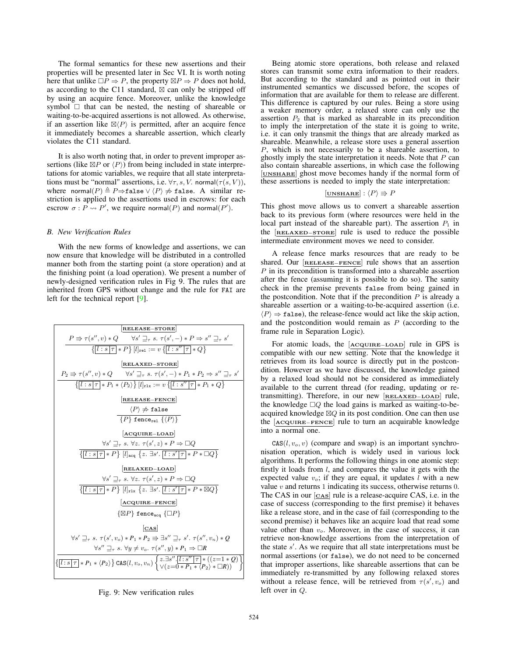The formal semantics for these new assertions and their properties will be presented later in Sec VI. It is worth noting here that unlike  $\Box P \Rightarrow P$ , the property  $\boxtimes P \Rightarrow P$  does not hold, as according to the C11 standard,  $\boxtimes$  can only be stripped off by using an acquire fence. Moreover, unlike the knowledge symbol  $\Box$  that can be nested, the nesting of shareable or waiting-to-be-acquired assertions is not allowed. As otherwise, if an assertion like  $\mathbb{Z}\langle P \rangle$  is permitted, after an acquire fence it immediately becomes a shareable assertion, which clearly violates the C11 standard.

It is also worth noting that, in order to prevent improper assertions (like  $\boxtimes P$  or  $\langle P \rangle$ ) from being included in state interpretations for atomic variables, we require that all state interpretations must be "normal" assertions, i.e.  $\forall \tau, s, V$ . normal $(\tau(s, V))$ , where normal $(P) \triangleq P \Rightarrow$ false  $\vee \langle P \rangle \not\Rightarrow$  false. A similar restriction is applied to the assertions used in escrows: for each escrow  $\sigma : P \rightarrow P'$ , we require normal(P) and normal(P').

### *B. New Verification Rules*

With the new forms of knowledge and assertions, we can now ensure that knowledge will be distributed in a controlled manner both from the starting point (a store operation) and at the finishing point (a load operation). We present a number of newly-designed verification rules in Fig 9. The rules that are inherited from GPS without change and the rule for FAI are left for the technical report [9].

| $P \Rightarrow \tau(s'', v) * Q$                                                                          | $\forall s' \exists \tau s. \tau(s', -) * P \Rightarrow s'' \exists \tau s'$         |
|-----------------------------------------------------------------------------------------------------------|--------------------------------------------------------------------------------------|
| $\{[l:s]\tau * P\} [l]_{\text{rel}} := v \{[l:s]\tau * Q\}$                                               |                                                                                      |
| $P_2 \Rightarrow \tau(s'', v) * Q$                                                                        | $\forall s' \exists \tau s. \tau(s', -) * P_1 * P_2 \Rightarrow s'' \exists \tau s'$ |
| $\{[l:s]\tau * P_1 * \langle P_2 \rangle\} [l]_{\text{rlx}} := v \{[l:s]\tau * P_1 * Q\}$                 |                                                                                      |
| $\{[l:s]\tau * P_1 * \langle P_2 \rangle\} [l]_{\text{rlx}} := v \{[l:s]\tau * P_1 * Q\}$                 |                                                                                      |
| $\{RELEASE-FENCE$                                                                                         |                                                                                      |
| $\langle P \rangle \neq false$                                                                            |                                                                                      |
| $\{P\}$ fence <sub>rel</sub> $\{\langle P \rangle\}$                                                      |                                                                                      |
| $\{ACQURE-LOAD$                                                                                           |                                                                                      |
| $\forall s' \exists \tau s. \forall z. \tau(s', z) * P \Rightarrow \Box Q$                                |                                                                                      |
| $\{[l:s]\tau * P\} [l]_{\text{seq}} \{z. \exists s'. \overline{[l:s]\tau * P * \Box Q\}$                  |                                                                                      |
| $\forall s' \exists \tau s. \forall z. \tau(s', z) * P \Rightarrow \Box Q$                                |                                                                                      |
| $\{[l:s]\tau * P\} [l]_{\text{rlx}} \{z. \exists s'. \overline{[l:s]\tau * P * \Box Q\}$                  |                                                                                      |
| $\{[l:s]\tau * P\} [l]_{\text{rlx}} \{z. \exists s'. \overline{[l:s]\tau * P * \Box Q\}$                  |                                                                                      |
| $\{CQUIRE-FENCE$                                                                                          |                                                                                      |
| $\forall s' \exists \tau s. \tau(s', v_o) * P_1 * P_2 \Rightarrow \exists s'' \exists \tau s'. \tau(s'',$ |                                                                                      |

Fig. 9: New verification rules

Being atomic store operations, both release and relaxed stores can transmit some extra information to their readers. But according to the standard and as pointed out in their instrumented semantics we discussed before, the scopes of information that are available for them to release are different. This difference is captured by our rules. Being a store using a weaker memory order, a relaxed store can only use the assertion  $P_2$  that is marked as shareable in its precondition to imply the interpretation of the state it is going to write, i.e. it can only transmit the things that are already marked as shareable. Meanwhile, a release store uses a general assertion P, which is not necessarily to be a shareable assertion, to ghostly imply the state interpretation it needs. Note that  $P$  can also contain shareable assertions, in which case the following [**UNSHARE**] ghost move becomes handy if the normal form of these assertions is needed to imply the state interpretation:

# $[\underline{\text{UNSHARE}}] : \langle P \rangle \Rightarrow P$

This ghost move allows us to convert a shareable assertion back to its previous form (where resources were held in the local part instead of the shareable part). The assertion  $P_1$  in the [**RELAXED**−**STORE**] rule is used to reduce the possible intermediate environment moves we need to consider.

A release fence marks resources that are ready to be shared. Our [**RELEASE**−**FENCE**] rule shows that an assertion P in its precondition is transformed into a shareable assertion after the fence (assuming it is possible to do so). The sanity check in the premise prevents false from being gained in the postcondition. Note that if the precondition  $P$  is already a shareable assertion or a waiting-to-be-acquired assertion (i.e.  $\langle P \rangle \Rightarrow$  false), the release-fence would act like the skip action, and the postcondition would remain as  $P$  (according to the frame rule in Separation Logic).

For atomic loads, the [**ACQUIRE**−**LOAD**] rule in GPS is compatible with our new setting. Note that the knowledge it retrieves from its load source is directly put in the postcondition. However as we have discussed, the knowledge gained by a relaxed load should not be considered as immediately available to the current thread (for reading, updating or retransmitting). Therefore, in our new [**RELAXED**−**LOAD**] rule, the knowledge  $\square Q$  the load gains is marked as waiting-to-beacquired knowledge  $\boxtimes Q$  in its post condition. One can then use the [**ACQUIRE**−**FENCE**] rule to turn an acquirable knowledge into a normal one.

 $CAS(l, v<sub>o</sub>, v)$  (compare and swap) is an important synchronisation operation, which is widely used in various lock algorithms. It performs the following things in one atomic step: firstly it loads from  $l$ , and compares the value it gets with the expected value  $v_o$ ; if they are equal, it updates l with a new value  $v$  and returns 1 indicating its success, otherwise returns 0. The CAS in our [**CAS**] rule is a release-acquire CAS, i.e. in the case of success (corresponding to the first premise) it behaves like a release store, and in the case of fail (corresponding to the second premise) it behaves like an acquire load that read some value other than  $v<sub>o</sub>$ . Moreover, in the case of success, it can retrieve non-knowledge assertions from the interpretation of the state  $s'$ . As we require that all state interpretations must be normal assertions (or false), we do not need to be concerned that improper assertions, like shareable assertions that can be immediately re-transmitted by any following relaxed stores without a release fence, will be retrieved from  $\tau(s', v_o)$  and left over in Q.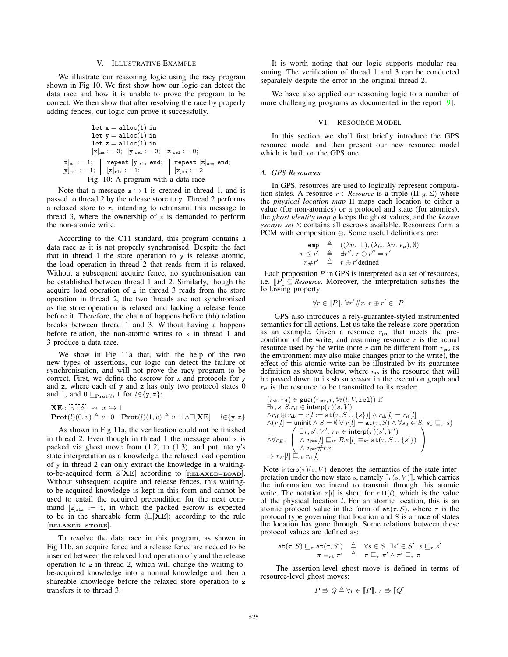# V. ILLUSTRATIVE EXAMPLE

We illustrate our reasoning logic using the racy program shown in Fig 10. We first show how our logic can detect the data race and how it is unable to prove the program to be correct. We then show that after resolving the race by properly adding fences, our logic can prove it successfully.

$$
\begin{array}{rl} \text{let } x = \text{alloc}(1) \text{ in} \\ \text{let } y = \text{alloc}(1) \text{ in} \\ \text{let } z = \text{alloc}(1) \text{ in} \\ [x]_{na} := 0; \ [y]_{ra1} := 0; \ [z]_{re1} := 0; \\ [x]_{na} := 1; & \text{repeat } [y]_{r1x} \text{ end}; & \text{repeat } [z]_{acq} \text{ end}; \\ [y]_{re1} := 1; & \begin{array}{l} x = 1 \\ 1 \end{array}; & \begin{array}{l} x = 1 \\ 1 \end{array}; & \begin{array}{l} x = 1 \\ 1 \end{array}; & \begin{array}{l} x = 1 \\ 1 \end{array}; & \begin{array}{l} x = 2 \\ 1 \end{array} \end{array}
$$

Note that a message  $x \leftrightarrow 1$  is created in thread 1, and is passed to thread 2 by the release store to y. Thread 2 performs a relaxed store to z, intending to retransmit this message to thread 3, where the ownership of  $x$  is demanded to perform the non-atomic write.

According to the C11 standard, this program contains a data race as it is not properly synchronised. Despite the fact that in thread 1 the store operation to y is release atomic, the load operation in thread 2 that reads from it is relaxed. Without a subsequent acquire fence, no synchronisation can be established between thread 1 and 2. Similarly, though the acquire load operation of z in thread 3 reads from the store operation in thread 2, the two threads are not synchronised as the store operation is relaxed and lacking a release fence before it. Therefore, the chain of happens before (hb) relation breaks between thread 1 and 3. Without having a happens before relation, the non-atomic writes to  $x$  in thread  $\overline{1}$  and 3 produce a data race.

We show in Fig 11a that, with the help of the two new types of assertions, our logic can detect the failure of synchronisation, and will not prove the racy program to be correct. First, we define the escrow for x and protocols for y and  $z$ , where each of  $y$  and  $z$  has only two protocol states  $\dot{0}$ and 1, and  $0 \sqsubseteq_{\textbf{Prot}(l)} 1$  for  $l \in \{y, z\}$ :

**XE** : γ : x → 1 **Prot**(l)(0, v) v=0 **Prot**(l)(1, v) v=1∧[**XE**] l∈{y, z}

As shown in Fig 11a, the verification could not be finished in thread 2. Even though in thread  $1$  the message about  $x$  is packed via ghost move from  $(1.2)$  to  $(1.3)$ , and put into y's state interpretation as a knowledge, the relaxed load operation of y in thread 2 can only extract the knowledge in a waitingto-be-acquired form [**XE**] according to [**RELAXED**−**LOAD**]. Without subsequent acquire and release fences, this waitingto-be-acquired knowledge is kept in this form and cannot be used to entail the required precondition for the next command  $[z]_{r1x} := 1$ , in which the packed escrow is expected to be in the shareable form  $\langle \Box [\mathbf{X} \mathbf{E}] \rangle$  according to the rule [**RELAXED**−**STORE**].

To resolve the data race in this program, as shown in Fig 11b, an acquire fence and a release fence are needed to be inserted between the relaxed load operation of y and the release operation to z in thread 2, which will change the waiting-tobe-acquired knowledge into a normal knowledge and then a shareable knowledge before the relaxed store operation to z transfers it to thread 3.

It is worth noting that our logic supports modular reasoning. The verification of thread 1 and 3 can be conducted separately despite the error in the original thread 2.

We have also applied our reasoning logic to a number of more challenging programs as documented in the report [9].

#### VI. RESOURCE MODEL

In this section we shall first briefly introduce the GPS resource model and then present our new resource model which is built on the GPS one.

#### *A. GPS Resources*

In GPS, resources are used to logically represent computation states. A resource  $r \in Resource$  is a triple  $(\Pi, g, \Sigma)$  where the *physical location map* Π maps each location to either a value (for non-atomics) or a protocol and state (for atomics), the *ghost identity map* g keeps the ghost values, and the *known escrow set* Σ contains all escrows available. Resources form a PCM with composition ⊕. Some useful definitions are:

$$
\begin{array}{rcl}\n\text{emp} & \triangleq & ((\lambda n. \perp), (\lambda \mu. \lambda n. \epsilon_{\mu}), \emptyset) \\
r \leq r' & \triangleq & \exists r''. \ r \oplus r'' = r' \\
r \# r' & \triangleq & r \oplus r' \text{defined}\n\end{array}
$$

Each proposition  $P$  in GPS is interpreted as a set of resources, i.e.  $[P] \subseteq$  *Resource*. Moreover, the interpretation satisfies the following property:

$$
\forall r \in \llbracket P \rrbracket. \ \forall r' \# r. \ r \oplus r' \in \llbracket P \rrbracket
$$

GPS also introduces a rely-guarantee-styled instrumented semantics for all actions. Let us take the release store operation as an example. Given a resource  $r_{pre}$  that meets the precondition of the write, and assuming resource  $r$  is the actual resource used by the write (note  $r$  can be different from  $r_{pre}$  as the environment may also make changes prior to the write), the effect of this atomic write can be illustrated by its guarantee definition as shown below, where  $r_{sb}$  is the resource that will be passed down to its sb successor in the execution graph and  $r_{\text{rf}}$  is the resource to be transmitted to its reader:

$$
\begin{array}{l} (r_{\mathsf{sb}},r_{\mathsf{rf}})\in\mathsf{guar}(r_{\mathsf{pre}},r,\mathbb{W}(l,V,\mathbf{rel}))\text{ if}\\ \exists\tau,s,S.r_{\mathsf{rf}}\in\mathsf{interp}(\tau)(s,V)\\ \wedge r_{\mathsf{rf}}\oplus r_{\mathsf{sb}}=r[l:=\mathsf{at}(\tau,S\cup\{s\})]\wedge r_{\mathsf{sb}}[l]=r_{\mathsf{rf}}[l]\\ \wedge (r[l]=\mathsf{uninit}\wedge S=\emptyset\vee r[l]=\mathsf{at}(\tau,S)\wedge\forall s_0\in S.\ s_0\sqsubseteq_\tau s)\\ \wedge\forall r_E.\left(\begin{array}{c}\exists\tau,s',V'.\ r_E\in\mathsf{interp}(\tau)(s',V')\\ \wedge\ r_{\mathsf{pre}}\#\tau_E\\ \wedge\ r_{\mathsf{pre}}\#\tau_E\\ \end{array}\right)\\ \Rightarrow r_E[l]\sqsubseteq_{\mathsf{at}} r_{\mathsf{rf}}[l] \end{array}
$$

Note interp( $\tau$ )(s, V) denotes the semantics of the state interpretation under the new state s, namely  $[\![\tau(s, V)]\!]$ , which carries the information we intend to transmit through this atomic write. The notation r[l] is short for r. $\Pi(l)$ , which is the value of the physical location  $l$ . For an atomic location, this is an atomic protocol value in the form of  $at(\tau, S)$ , where  $\tau$  is the protocol type governing that location and  $S$  is a trace of states the location has gone through. Some relations between these protocol values are defined as:

$$
\begin{array}{rcl}\mathsf{at}(\tau,S) \sqsubseteq_{\tau} \mathsf{at}(\tau,S') & \triangleq & \forall s \in S. \ \exists s' \in S'. \ s \sqsubseteq_{\tau} s'\\ \pi \equiv_{\mathsf{at}} \pi' & \triangleq & \pi \sqsubseteq_{\tau} \pi' \land \pi' \sqsubseteq_{\tau} \pi\end{array}
$$

The assertion-level ghost move is defined in terms of resource-level ghost moves:

$$
P \Rrightarrow Q \triangleq \forall r \in [P]. \ r \Rrightarrow [Q]
$$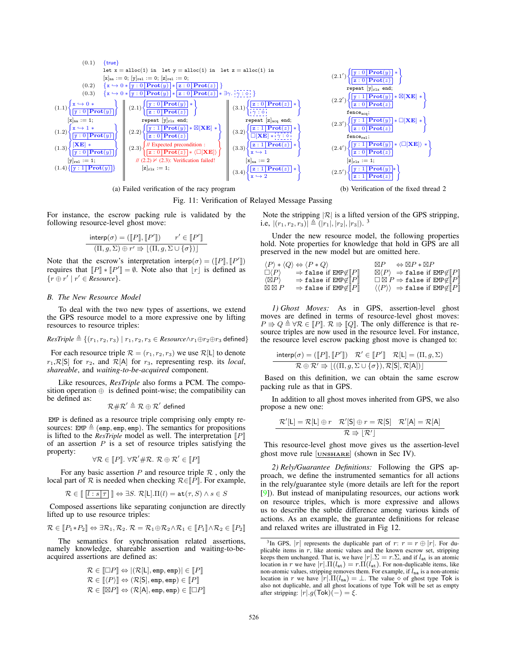

(a) Failed verification of the racy program

Fig. 11: Verification of Relayed Message Passing

 $\overline{a}$ 

For instance, the escrow packing rule is validated by the following resource-level ghost move:

$$
\frac{\text{interp}(\sigma) = ([P], [P']) \qquad r' \in [P']]}{(\Pi, g, \Sigma) \oplus r' \Rightarrow [(\Pi, g, \Sigma \cup \{\sigma\})]}
$$

Note that the escrow's interpretation interp $(\sigma) = (\llbracket P \rrbracket, \llbracket P' \rrbracket)$ requires that  $[P] * [P'] = \emptyset$ . Note also that  $[r]$  is defined as  $\{r \oplus r' \mid r' \in \mathit{Resource}\}.$ 

#### *B. The New Resource Model*

To deal with the two new types of assertions, we extend the GPS resource model to a more expressive one by lifting resources to resource triples:

$$
\textit{ResTriple} \triangleq \{(r_1,r_2,r_3) \mid r_1,r_2,r_3 \in \textit{Resource} \land r_1 \oplus r_2 \oplus r_3 \text{ defined}\}
$$

For each resource triple  $\mathcal{R} = (r_1, r_2, r_3)$  we use  $\mathcal{R}[L]$  to denote  $r_1, \mathcal{R}[\mathsf{S}]$  for  $r_2$ , and  $\mathcal{R}[\mathsf{A}]$  for  $r_3$ , representing resp. its *local*, *shareable*, and *waiting-to-be-acquired* component.

Like resources, *ResTriple* also forms a PCM. The composition operation  $oplus$  is defined point-wise; the compatibility can be defined as:

$$
\mathcal{R}\#\mathcal{R}'\triangleq\mathcal{R}\oplus\mathcal{R}'\ \text{defined}
$$

EMP is defined as a resource triple comprising only empty resources: EMP  $\triangleq$  (emp, emp, emp). The semantics for propositions is lifted to the *ResTriple* model as well. The interpretation  $[ P ]$ of an assertion  $P$  is a set of resource triples satisfying the property:

$$
\forall \mathcal{R} \in \llbracket P \rrbracket. \ \forall \mathcal{R}' \# \mathcal{R}. \ \mathcal{R} \oplus \mathcal{R}' \in \llbracket P \rrbracket
$$

For any basic assertion P and resource triple  $\mathcal R$ , only the local part of  $R$  is needed when checking  $R \in [P]$ . For example,

$$
\mathcal{R} \in \llbracket \overline{(l:s|\tau|)} \rrbracket \Leftrightarrow \exists S. \; \mathcal{R}[L].\Pi(l) = \mathtt{at}(\tau, S) \land s \in S
$$

Composed assertions like separating conjunction are directly lifted up to use resource triples:

$$
\mathcal{R} \in [\![P_1 * P_2]\!] \Leftrightarrow \exists \mathcal{R}_1, \mathcal{R}_2.\ \mathcal{R} = \mathcal{R}_1 \oplus \mathcal{R}_2 \wedge \mathcal{R}_1 \in [\![P_1]\!] \wedge \mathcal{R}_2 \in [\![P_2]\!]
$$

The semantics for synchronisation related assertions, namely knowledge, shareable assertion and waiting-to-beacquired assertions are defined as:

$$
\mathcal{R} \in [\Box P] \Leftrightarrow |(\mathcal{R}[L], \text{emp}, \text{emp})| \in [P]
$$
  

$$
\mathcal{R} \in [\langle P \rangle] \Leftrightarrow (\mathcal{R}[S], \text{emp}, \text{emp}) \in [P]
$$
  

$$
\mathcal{R} \in [\boxtimes P] \Leftrightarrow (\mathcal{R}[A], \text{emp}, \text{emp}) \in [\Box P]
$$

Note the stripping  $|R|$  is a lifted version of the GPS stripping, i.e,  $|(r_1, r_2, r_3)| \triangleq (|r_1|, |r_2|, |r_3|).$ <sup>3</sup>

Under the new resource model, the following properties hold. Note properties for knowledge that hold in GPS are all preserved in the new model but are omitted here.

 $\langle P \rangle * \langle Q \rangle \Leftrightarrow \langle P * Q \rangle$  $\boxtimes P$   $\Leftrightarrow$   $\boxtimes P * \boxtimes P$  $\Gamma(P)$  $\Rightarrow$  false if EMP $\notin$   $\llbracket P \rrbracket$  $P$   $\Box \langle P \rangle \Rightarrow$  false if  $EMP \not\in [P]$  $\langle \boxtimes P \rangle$  $\Rightarrow$  false if EMP $\notin \llbracket P \rrbracket$  $P\rrbracket \qquad \Box\boxtimes P \Rightarrow \texttt{false} \text{ if } \texttt{EMP} \not\in \llbracket P\rrbracket$  $\boxtimes$   $\boxtimes$   $P$   $\Rightarrow$  false if  $\texttt{EMP} \notin \llbracket P \rrbracket$  $P \rrbracket \qquad \langle \langle P \rangle \rangle \; \Rightarrow \texttt{false} \; \text{if} \; \texttt{EMP} {\not\in} {\llbracket} P {\rrbracket}$ 

*1) Ghost Moves:* As in GPS, assertion-level ghost moves are defined in terms of resource-level ghost moves:  $P \Rightarrow Q \triangleq \forall \mathcal{R} \in [P] \colon \mathcal{R} \Rightarrow [Q]$ . The only difference is that resource triples are now used in the resource level. For instance, the resource level escrow packing ghost move is changed to:

$$
\frac{\text{interp}(\sigma) = (\llbracket P \rrbracket, \llbracket P' \rrbracket) \quad \mathcal{R}' \in \llbracket P' \rrbracket \quad \mathcal{R}[L] = (\Pi, g, \Sigma)}{\mathcal{R} \oplus \mathcal{R}' \Rightarrow \lfloor ((\Pi, g, \Sigma) \cup \{\sigma\}), \mathcal{R}[S], \mathcal{R}[A]) \rfloor}
$$

Based on this definition, we can obtain the same escrow packing rule as that in GPS.

In addition to all ghost moves inherited from GPS, we also propose a new one:

$$
\frac{\mathcal{R}'[L] = \mathcal{R}[L] \oplus r \quad \mathcal{R}'[S] \oplus r = \mathcal{R}[S] \quad \mathcal{R}'[A] = \mathcal{R}[A]}{\mathcal{R} \Rrightarrow [R']}
$$

This resource-level ghost move gives us the assertion-level ghost move rule [**UNSHARE**] (shown in Sec IV).

*2) Rely/Guarantee Definitions:* Following the GPS approach, we define the instrumented semantics for all actions in the rely/guarantee style (more details are left for the report [9]). But instead of manipulating resources, our actions work on resource triples, which is more expressive and allows us to describe the subtle difference among various kinds of actions. As an example, the guarantee definitions for release and relaxed writes are illustrated in Fig 12.



<sup>&</sup>lt;sup>3</sup>In GPS, |r| represents the duplicable part of  $r: r = r \oplus |r|$ . For duplicable items in  $r$ , like atomic values and the known escrow set, stripping keeps them unchanged. That is, we have  $|r| \cdot \Sigma = r \cdot \Sigma$ , and if  $l_{at}$  is an atomic location in r we have  $|r| \cdot \Pi(l_{\text{at}}) = r \cdot \Pi(l_{\text{at}})$ . For non-duplicable items, like non-atomic values, stripping removes them. For example, if  $l_{na}$  is a non-atomic location in r we have  $|r| \cdot \Pi(l_{na}) = \bot$ . The value  $\diamond$  of ghost type Tok is also not duplicable, and all ghost locations of type Tok will be set as empty after stripping:  $|r| g(Tok)(-) = \xi$ .